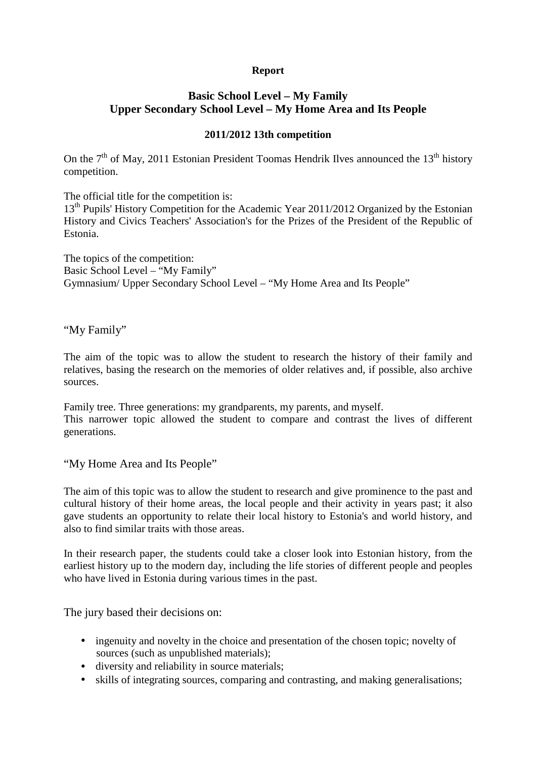## **Report**

## **Basic School Level – My Family Upper Secondary School Level – My Home Area and Its People**

## **2011/2012 13th competition**

On the  $7<sup>th</sup>$  of May, 2011 Estonian President Toomas Hendrik Ilves announced the 13<sup>th</sup> history competition.

The official title for the competition is:

13<sup>th</sup> Pupils' History Competition for the Academic Year 2011/2012 Organized by the Estonian History and Civics Teachers' Association's for the Prizes of the President of the Republic of Estonia.

The topics of the competition: Basic School Level – "My Family" Gymnasium/ Upper Secondary School Level – "My Home Area and Its People"

"My Family"

The aim of the topic was to allow the student to research the history of their family and relatives, basing the research on the memories of older relatives and, if possible, also archive sources.

Family tree. Three generations: my grandparents, my parents, and myself. This narrower topic allowed the student to compare and contrast the lives of different generations.

"My Home Area and Its People"

The aim of this topic was to allow the student to research and give prominence to the past and cultural history of their home areas, the local people and their activity in years past; it also gave students an opportunity to relate their local history to Estonia's and world history, and also to find similar traits with those areas.

In their research paper, the students could take a closer look into Estonian history, from the earliest history up to the modern day, including the life stories of different people and peoples who have lived in Estonia during various times in the past.

The jury based their decisions on:

- ingenuity and novelty in the choice and presentation of the chosen topic; novelty of sources (such as unpublished materials);
- diversity and reliability in source materials;
- skills of integrating sources, comparing and contrasting, and making generalisations;